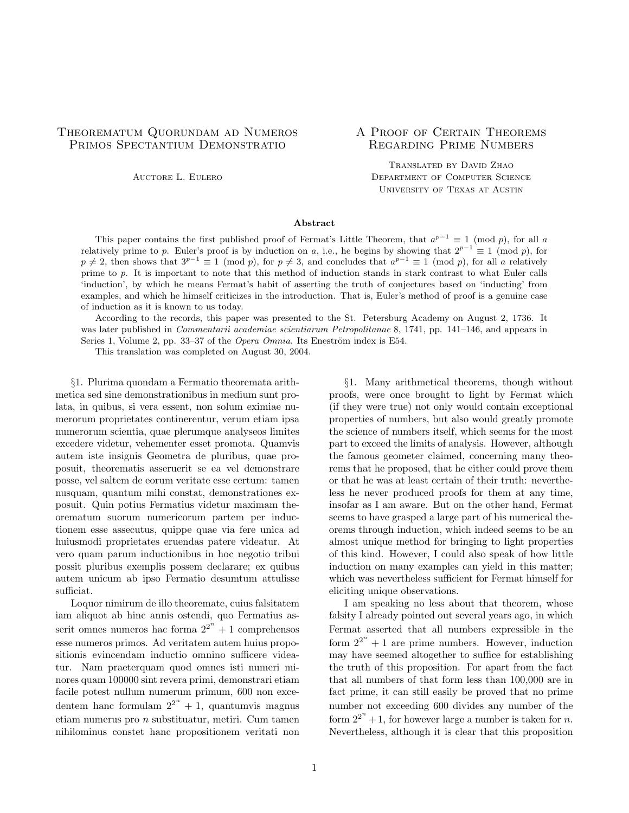# Theorematum Quorundam ad Numeros A Proof of Certain Theorems PRIMOS SPECTANTIUM DEMONSTRATIO REGARDING PRIME NUMBERS

Translated by David Zhao AUCTORE L. EULERO **DEPARTMENT OF COMPUTER SCIENCE** University of Texas at Austin

## Abstract

This paper contains the first published proof of Fermat's Little Theorem, that  $a^{p-1} \equiv 1 \pmod{p}$ , for all a relatively prime to p. Euler's proof is by induction on a, i.e., he begins by showing that  $2^{p-1} \equiv 1 \pmod{p}$ , for  $p \neq 2$ , then shows that  $3^{p-1} \equiv 1 \pmod{p}$ , for  $p \neq 3$ , and concludes that  $a^{p-1} \equiv 1 \pmod{p}$ , for all a relatively prime to p. It is important to note that this method of induction stands in stark contrast to what Euler calls 'induction', by which he means Fermat's habit of asserting the truth of conjectures based on 'inducting' from examples, and which he himself criticizes in the introduction. That is, Euler's method of proof is a genuine case of induction as it is known to us today.

According to the records, this paper was presented to the St. Petersburg Academy on August 2, 1736. It was later published in *Commentarii academiae scientiarum Petropolitanae* 8, 1741, pp. 141–146, and appears in Series 1, Volume 2, pp. 33–37 of the *Opera Omnia*. Its Eneström index is E54.

This translation was completed on August 30, 2004.

metica sed sine demonstrationibus in medium sunt pro- proofs, were once brought to light by Fermat which lata, in quibus, si vera essent, non solum eximiae nu- (if they were true) not only would contain exceptional merorum proprietates continerentur, verum etiam ipsa properties of numbers, but also would greatly promote numerorum scientia, quae plerumque analyseos limites the science of numbers itself, which seems for the most excedere videtur, vehementer esset promota. Quamvis part to exceed the limits of analysis. However, although autem iste insignis Geometra de pluribus, quae pro- the famous geometer claimed, concerning many theoposuit, theorematis asseruerit se ea vel demonstrare rems that he proposed, that he either could prove them posse, vel saltem de eorum veritate esse certum: tamen or that he was at least certain of their truth: neverthenusquam, quantum mihi constat, demonstrationes ex- less he never produced proofs for them at any time, posuit. Quin potius Fermatius videtur maximam the- insofar as I am aware. But on the other hand, Fermat orematum suorum numericorum partem per induc- seems to have grasped a large part of his numerical thetionem esse assecutus, quippe quae via fere unica ad orems through induction, which indeed seems to be an huiusmodi proprietates eruendas patere videatur. At almost unique method for bringing to light properties vero quam parum inductionibus in hoc negotio tribui of this kind. However, I could also speak of how little possit pluribus exemplis possem declarare; ex quibus induction on many examples can yield in this matter; autem unicum ab ipso Fermatio desumtum attulisse which was nevertheless sufficient for Fermat himself for sufficiat.  $\blacksquare$ 

Loquor nimirum de illo theoremate, cuius falsitatem I am speaking no less about that theorem, whose iam aliquot ab hinc annis ostendi, quo Fermatius as- falsity I already pointed out several years ago, in which serit omnes numeros hac forma  $2^{2^n}$ esse numeros primos. Ad veritatem autem huius propositionis evincendam inductio omnino sufficere videa- may have seemed altogether to suffice for establishing tur. Nam praeterquam quod omnes isti numeri mi- the truth of this proposition. For apart from the fact nores quam 100000 sint revera primi, demonstrari etiam that all numbers of that form less than 100,000 are in facile potest nullum numerum primum, 600 non exce- fact prime, it can still easily be proved that no prime dentem hanc formulam  $2^{2^n}$ etiam numerus pro  $n$  substituatur, metiri. Cum tamen nihilominus constet hanc propositionem veritati non Nevertheless, although it is clear that this proposition

§1. Plurima quondam a Fermatio theoremata arith- §1. Many arithmetical theorems, though without

Fermat asserted that all numbers expressible in the  $n + 1$  are prime numbers. However, induction number not exceeding 600 divides any number of the  $n + 1$ , for however large a number is taken for *n*.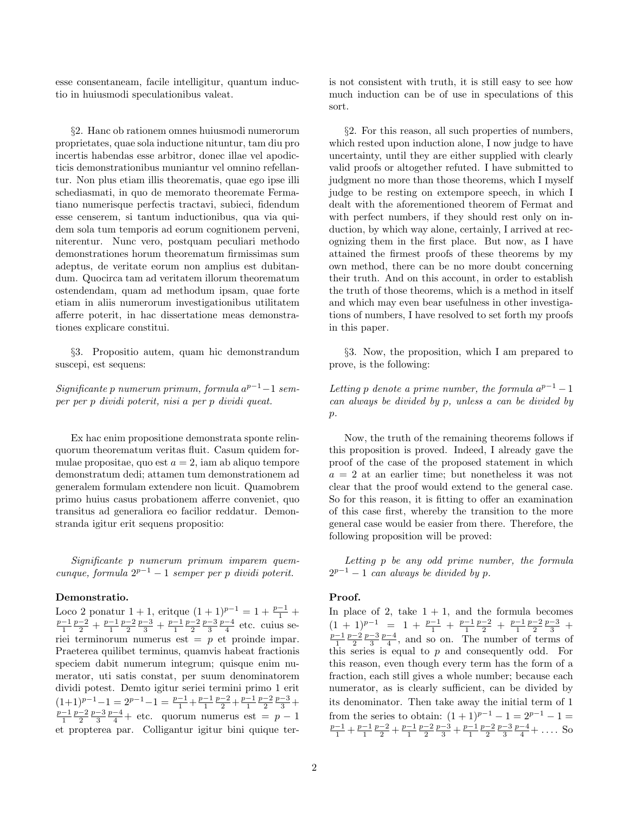tio in huiusmodi speculationibus valeat. much induction can be of use in speculations of this

proprietates, quae sola inductione nituntur, tam diu pro which rested upon induction alone, I now judge to have incertis habendas esse arbitror, donec illae vel apodic- uncertainty, until they are either supplied with clearly ticis demonstrationibus muniantur vel omnino refellan- valid proofs or altogether refuted. I have submitted to tur. Non plus etiam illis theorematis, quae ego ipse illi judgment no more than those theorems, which I myself schediasmati, in quo de memorato theoremate Ferma- judge to be resting on extempore speech, in which I tiano numerisque perfectis tractavi, subieci, fidendum dealt with the aforementioned theorem of Fermat and esse censerem, si tantum inductionibus, qua via qui- with perfect numbers, if they should rest only on indem sola tum temporis ad eorum cognitionem perveni, duction, by which way alone, certainly, I arrived at recniterentur. Nunc vero, postquam peculiari methodo ognizing them in the first place. But now, as I have demonstrationes horum theorematum firmissimas sum attained the firmest proofs of these theorems by my adeptus, de veritate eorum non amplius est dubitan- own method, there can be no more doubt concerning dum. Quocirca tam ad veritatem illorum theorematum their truth. And on this account, in order to establish ostendendam, quam ad methodum ipsam, quae forte the truth of those theorems, which is a method in itself etiam in aliis numerorum investigationibus utilitatem and which may even bear usefulness in other investigaafferre poterit, in hac dissertatione meas demonstra- tions of numbers, I have resolved to set forth my proofs tiones explicare constitui. in this paper.

suscepi, est sequens: prove, is the following:

Significante p numerum primum, formula  $a^{p-1}-1$  semper per p dividi poterit, nisi a per p dividi queat. can always be divided by p, unless a can be divided by

generalem formulam extendere non licuit. Quamobrem clear that the proof would extend to the general case.

cunque, formula  $2^{p-1} - 1$  semper per p dividi poterit. 2

### Demonstratio. Proof.

Loco 2 ponatur  $1 + 1$ , eritque  $(1 + 1)^{p-1} = 1 + \frac{p-1}{1}$  $\frac{p-1}{1} \frac{p-2}{2} + \frac{p-1}{1} \frac{p-2}{2} \frac{p-3}{3} + \frac{p-1}{1} \frac{p-2}{2} \frac{p-3}{3} \frac{p-4}{4}$ riei terminorum numerus est = p et proinde impar.  $(1+1)^{p-1}-1 = 2^{p-1}-1 = \tfrac{p-1}{1} + \tfrac{p-1}{1} \tfrac{p-2}{2} + \tfrac{p-1}{1} \tfrac{p-2}{2} \tfrac{p-3}{3}$  $\frac{p-1}{1}$  $\frac{p-2}{2}$  $\frac{p-3}{3}$  $\frac{p-4}{4}$ et propterea par. Colligantur igitur bini quique ter-

esse consentaneam, facile intelligitur, quantum induc- is not consistent with truth, it is still easy to see how sort.

 $\S2$ . Hanc ob rationem omnes huiusmodi numerorum  $\S2$ . For this reason, all such properties of numbers,

§3. Propositio autem, quam hic demonstrandum §3. Now, the proposition, which I am prepared to

 $p-1-1$  sem-<br>Letting p denote a prime number, the formula  $a^{p-1}-1$  $p$ .

Ex hac enim propositione demonstrata sponte relin- Now, the truth of the remaining theorems follows if quorum theorematum veritas fluit. Casum quidem for- this proposition is proved. Indeed, I already gave the mulae propositae, quo est  $a = 2$ , iam ab aliquo tempore proof of the case of the proposed statement in which demonstratum dedi; attamen tum demonstrationem ad  $a = 2$  at an earlier time; but nonetheless it was not primo huius casus probationem afferre conveniet, quo So for this reason, it is fitting to offer an examination transitus ad generaliora eo facilior reddatur. Demon- of this case first, whereby the transition to the more stranda igitur erit sequens propositio: general case would be easier from there. Therefore, the following proposition will be proved:

Significante p numerum primum imparem quem-<br>Letting p be any odd prime number, the formula  $2^{p-1} - 1$  can always be divided by p.

In place of 2, take  $1 + 1$ , and the formula becomes etc. cuius se-  $(1 + 1)^{p-1} = 1 + \frac{p-1}{1} + \frac{p-1}{1} \frac{p-2}{2} + \frac{p-1}{1} \frac{p-2}{2} \frac{p-3}{3}$  $\frac{-1}{1}$  $\frac{p-2}{2}$  $\frac{p-3}{3}$  $\frac{p-4}{4}$ , and so on. The number of terms of Praeterea quilibet terminus, quamvis habeat fractionis this series is equal to  $p$  and consequently odd. For speciem dabit numerum integrum; quisque enim nu- this reason, even though every term has the form of a merator, uti satis constat, per suum denominatorem fraction, each still gives a whole number; because each dividi potest. Demto igitur seriei termini primo 1 erit numerator, as is clearly sufficient, can be divided by its denominator. Then take away the initial term of 1  $\frac{-4}{4}$  + etc. quorum numerus est = p − 1 from the series to obtain:  $(1+1)^{p-1} - 1 = 2^{p-1} - 1 =$  $\frac{-1}{1} + \frac{p-1}{1} \frac{p-2}{2} + \frac{p-1}{1} \frac{p-2}{2} \frac{p-3}{3} + \frac{p-1}{1} \frac{p-2}{2} \frac{p-3}{3} \frac{p-4}{4} + \dots$  So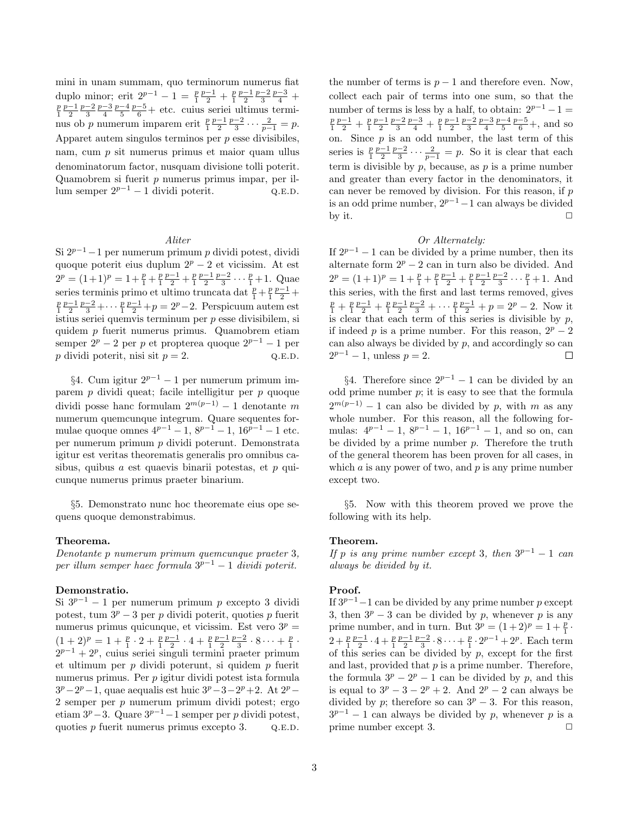duplo minor; erit  $2^{p-1} - 1 = \frac{p}{1} \frac{p-1}{2} + \frac{p}{1} \frac{p-1}{2} \frac{p-2}{3} \frac{p-3}{4}$  $\frac{p}{1} \frac{p-1}{2} \frac{p-2}{3} \frac{p-3}{4} \frac{p-4}{5} \frac{p-5}{6}$ nus ob p numerum imparem erit  $\frac{p}{1} \frac{p-1}{2} \frac{p-2}{3} \cdots \frac{2}{p-1} = p$ . nam, cum  $p$  sit numerus primus et maior quam ullus

Si  $2^{p-1}-1$  per numerum primum p dividi potest, dividi If  $2^{p-1}-1$  can be divided by a prime number, then its quoque poterit eius duplum  $2^p - 2$  et vicissim. At est alternate form  $2^p - 2$  can in turn also be divided. And  $2^p = (1+1)^p = 1 + \frac{p}{1} + \frac{p}{1} \frac{p-1}{2} + \frac{p}{1} \frac{p-1}{2} \frac{p-2}{3} \cdots \frac{p}{1}$ series terminis primo et ultimo truncata dat $\frac{p}{1} + \frac{p}{1} \frac{p-1}{2}$  $\frac{p}{1} \frac{p-1}{2} \frac{p-2}{3} + \cdots \frac{p}{1} \frac{p-1}{2} + p = 2^p - 2$ . Perspicuum autem est  $\frac{p}{1}$ istius seriei quemvis terminum per p esse divisibilem, si is clear that each term of this series is divisible by  $p$ , quidem p fuerit numerus primus. Quamobrem etiam if indeed p is a prime number. For this reason,  $2^p - 2$ semper  $2^p - 2$  per p et propterea quoque  $2^{p-1} - 1$  per can also always be divided by p, and accordingly so can  $p$  dividi poterit, nisi sit  $p = 2$ . Q.E.D.

parem p dividi queat; facile intelligitur per p quoque odd prime number p; it is easy to see that the formula dividi posse hanc formulam  $2^{m(p-1)} - 1$  denotante m numerum quemcunque integrum. Quare sequentes for-<br>mulae number. For this reason, all the following for-<br>mulae quoque omnes  $4^{p-1} - 1$ ,  $8^{p-1} - 1$ ,  $16^{p-1} - 1$  etc.<br>mulas:  $4^{p-1} - 1$ ,  $8^{p-1} - 1$ ,  $16^{p-1} - 1$ , and so per numerum primum p dividi poterunt. Demonstrata be divided by a prime number p. Therefore the truth igitur est veritas theorematis generalis pro omnibus ca- of the general theorem has been proven for all cases, in sibus, quibus a est quaevis binarii potestas, et p qui- which a is any power of two, and p is any prime number cunque numerus primus praeter binarium. except two.

quens quoque demonstrabimus. following with its help.

## Theorema. Theorem.

Denotante p numerum primum quemcunque praeter 3, per illum semper haec formula  $3^{p-1} - 1$  dividi poterit. always be divided by it.

## Demonstratio. Proof.

potest, tum  $3^p - 3$  per p dividi poterit, quoties p fuerit 3, then  $3^p - 3$  can be divided by p, whenever p is any numerus primus quicunque, et vicissim. Est vero  $3^p$  =  $(1+2)^p = 1 + \frac{p}{1} \cdot 2 + \frac{p}{1} \frac{p-1}{2} \cdot 4 + \frac{p}{1} \frac{p-1}{2} \frac{p-2}{3} \cdot 8 \cdots + \frac{p}{1}$  $2^{p-1}+2^p$ et ultimum per  $p$  dividi poterunt, si quidem  $p$  fuerit and last, provided that  $p$  is a prime number. Therefore, numerus primus. Per  $p$  igitur dividi potest ista formula  $3^p-2^p-1$ , quae aequalis est huic  $3^p-3-2$ 2 semper per p numerum primum dividi potest; ergo divided by p; therefore so can  $3^p - 3$ . For this reason, etiam  $3^p-3$ . Quare  $3^{p-1}-1$  semper per p dividi potest,  $3^{p-1}-1$  can always be divided by p, whenever p is a

mini in unam summam, quo terminorum numerus fiat the number of terms is  $p - 1$  and therefore even. Now, collect each pair of terms into one sum, so that the number of terms is less by a half, to obtain:  $2^{p-1} - 1 =$  $\frac{p}{1} \frac{p-1}{2} + \frac{p}{1} \frac{p-1}{2} \frac{p-2}{3} \frac{p-3}{4} + \frac{p}{1} \frac{p-1}{2} \frac{p-2}{3} \frac{p-3}{4} \frac{p-4}{5} \frac{p-5}{6} +$ , and so Apparet autem singulos terminos per  $p$  esse divisibiles, on. Since  $p$  is an odd number, the last term of this  $\frac{p}{1} \frac{p-1}{2} \frac{p-2}{3} \cdots \frac{2}{p-1} = p$ . So it is clear that each denominatorum factor, nusquam divisione tolli poterit.  $t = t$ erm is divisible by p, because, as p is a prime number Quamobrem si fuerit p numerus primus impar, per il- and greater than every factor in the denominators, it lum semper  $2^{p-1} - 1$  dividi poterit.  $Q.E.D.$  can never be removed by division. For this reason, if p is an odd prime number,  $2^{p-1}-1$  can always be divided by it.  $\Box$ 

### Aliter  $Or$  Alternately:

 $\frac{p}{1}+1$ . Quae  $2^p = (1+1)^p = 1 + \frac{p}{1} + \frac{p}{1} \frac{p-1}{2} + \frac{p}{1} \frac{p-1}{2} \frac{p-2}{3} \cdots \frac{p}{1} + 1$ . And  $\frac{-1}{2}$  + this series, with the first and last terms removed, gives  $\frac{p}{1} + \frac{p}{1} \frac{p-1}{2} + \frac{p}{1} \frac{p-1}{2} \frac{p-2}{3} + \cdots + \frac{p}{1} \frac{p-1}{2} + p = 2^p - 2$ . Now it  $2^{p-1} - 1$ , unless  $p = 2$ .  $\Box$ 

§4. Cum igitur  $2^{p-1} - 1$  per numerum primum im-<br>§4. Therefore since  $2^{p-1} - 1$  can be divided by an  $2^{m(p-1)} - 1$  can also be divided by p, with m as any mulas:  $4^{p-1} - 1$ ,  $8^{p-1} - 1$ ,  $16^{p-1} - 1$ , and so on, can

§5. Demonstrato nunc hoc theoremate eius ope se- §5. Now with this theorem proved we prove the

If p is any prime number except 3, then  $3^{p-1} - 1$  can

Si  $3^{p-1} - 1$  per numerum primum p excepto 3 dividi If  $3^{p-1}-1$  can be divided by any prime number p except  $\frac{p}{1}$ . ·  $2 + \frac{p}{1} \frac{p-1}{2} \cdot 4 + \frac{p}{1} \frac{p-1}{2} \frac{p-2}{3} \cdot 8 \cdot \cdot \cdot + \frac{p}{1} \cdot 2^{p-1} + 2^p$ . Each term of this series can be divided by  $p$ , except for the first the formula  $3^p - 2^p - 1$  can be divided by p, and this  $p+2$ . At  $2^p-$  is equal to  $3^p-3-2^p+2$ . And  $2^p-2$  can always be quoties p fuerit numerus primus excepto 3.  $Q.E.D.$  prime number except 3.  $\square$